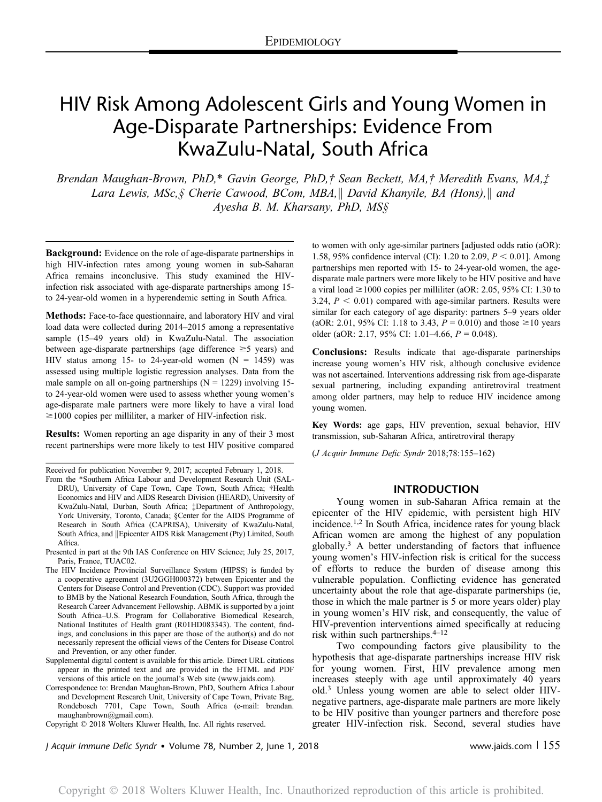# HIV Risk Among Adolescent Girls and Young Women in Age-Disparate Partnerships: Evidence From KwaZulu-Natal, South Africa

Brendan Maughan-Brown, PhD,\* Gavin George, PhD,† Sean Beckett, MA,† Meredith Evans, MA,‡ Lara Lewis, MSc,  $\zeta$  Cherie Cawood, BCom, MBA, David Khanyile, BA (Hons), and Ayesha B. M. Kharsany, PhD, MS§

**Background:** Evidence on the role of age-disparate partnerships in high HIV-infection rates among young women in sub-Saharan Africa remains inconclusive. This study examined the HIVinfection risk associated with age-disparate partnerships among 15 to 24-year-old women in a hyperendemic setting in South Africa.

Methods: Face-to-face questionnaire, and laboratory HIV and viral load data were collected during 2014–2015 among a representative sample (15–49 years old) in KwaZulu-Natal. The association between age-disparate partnerships (age difference  $\geq$  5 years) and HIV status among 15- to 24-year-old women  $(N = 1459)$  was assessed using multiple logistic regression analyses. Data from the male sample on all on-going partnerships  $(N = 1229)$  involving 15to 24-year-old women were used to assess whether young women's age-disparate male partners were more likely to have a viral load  $\geq$ 1000 copies per milliliter, a marker of HIV-infection risk.

Results: Women reporting an age disparity in any of their 3 most recent partnerships were more likely to test HIV positive compared

Received for publication November 9, 2017; accepted February 1, 2018.

- From the \*Southern Africa Labour and Development Research Unit (SAL-DRU), University of Cape Town, Cape Town, South Africa; †Health Economics and HIV and AIDS Research Division (HEARD), University of KwaZulu-Natal, Durban, South Africa; ‡Department of Anthropology, York University, Toronto, Canada; §Center for the AIDS Programme of Research in South Africa (CAPRISA), University of KwaZulu-Natal, South Africa, and ||Epicenter AIDS Risk Management (Pty) Limited, South Africa.
- Presented in part at the 9th IAS Conference on HIV Science; July 25, 2017, Paris, France, TUAC02.
- The HIV Incidence Provincial Surveillance System (HIPSS) is funded by a cooperative agreement (3U2GGH000372) between Epicenter and the Centers for Disease Control and Prevention (CDC). Support was provided to BMB by the National Research Foundation, South Africa, through the Research Career Advancement Fellowship. ABMK is supported by a joint South Africa–U.S. Program for Collaborative Biomedical Research, National Institutes of Health grant (R01HD083343). The content, findings, and conclusions in this paper are those of the author(s) and do not necessarily represent the official views of the Centers for Disease Control and Prevention, or any other funder.
- Supplemental digital content is available for this article. Direct URL citations appear in the printed text and are provided in the HTML and PDF versions of this article on the journal's Web site ([www.jaids.com](http://www.jaids.com)).

Correspondence to: Brendan Maughan-Brown, PhD, Southern Africa Labour and Development Research Unit, University of Cape Town, Private Bag, Rondebosch 7701, Cape Town, South Africa (e-mail: [brendan.](mailto:brendan.maughanbrown@gmail.com) [maughanbrown@gmail.com\)](mailto:brendan.maughanbrown@gmail.com).

Copyright © 2018 Wolters Kluwer Health, Inc. All rights reserved.

to women with only age-similar partners [adjusted odds ratio (aOR): 1.58, 95% confidence interval (CI): 1.20 to 2.09,  $P < 0.01$ ]. Among partnerships men reported with 15- to 24-year-old women, the agedisparate male partners were more likely to be HIV positive and have a viral load  $\geq$ 1000 copies per milliliter (aOR: 2.05, 95% CI: 1.30 to 3.24,  $P < 0.01$ ) compared with age-similar partners. Results were similar for each category of age disparity: partners 5–9 years older (aOR: 2.01, 95% CI: 1.18 to 3.43,  $P = 0.010$ ) and those  $\geq 10$  years older (aOR: 2.17, 95% CI: 1.01–4.66,  $P = 0.048$ ).

Conclusions: Results indicate that age-disparate partnerships increase young women's HIV risk, although conclusive evidence was not ascertained. Interventions addressing risk from age-disparate sexual partnering, including expanding antiretroviral treatment among older partners, may help to reduce HIV incidence among young women.

Key Words: age gaps, HIV prevention, sexual behavior, HIV transmission, sub-Saharan Africa, antiretroviral therapy

(J Acquir Immune Defic Syndr 2018;78:155–162)

### INTRODUCTION

Young women in sub-Saharan Africa remain at the epicenter of the HIV epidemic, with persistent high HIV incidence.1,2 In South Africa, incidence rates for young black African women are among the highest of any population globally.3 A better understanding of factors that influence young women's HIV-infection risk is critical for the success of efforts to reduce the burden of disease among this vulnerable population. Conflicting evidence has generated uncertainty about the role that age-disparate partnerships (ie, those in which the male partner is 5 or more years older) play in young women's HIV risk, and consequently, the value of HIV-prevention interventions aimed specifically at reducing risk within such partnerships.4–<sup>12</sup>

Two compounding factors give plausibility to the hypothesis that age-disparate partnerships increase HIV risk for young women. First, HIV prevalence among men increases steeply with age until approximately 40 years old.<sup>3</sup> Unless young women are able to select older HIVnegative partners, age-disparate male partners are more likely to be HIV positive than younger partners and therefore pose greater HIV-infection risk. Second, several studies have

J Acquir Immune Defic Syndr • Volume 78, Number 2, June 1, 2018 **www.follogy.com 1 and 1998** www.jaids.com 1 155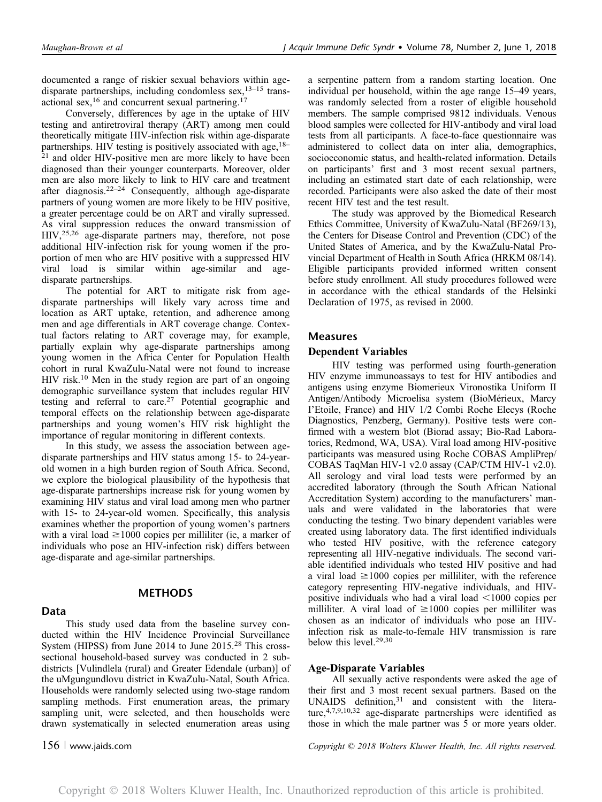documented a range of riskier sexual behaviors within agedisparate partnerships, including condomless sex,<sup>13-15</sup> transactional sex,<sup>16</sup> and concurrent sexual partnering.<sup>17</sup>

Conversely, differences by age in the uptake of HIV testing and antiretroviral therapy (ART) among men could theoretically mitigate HIV-infection risk within age-disparate partnerships. HIV testing is positively associated with age,  $18-$ <sup>21</sup> and older HIV-positive men are more likely to have been diagnosed than their younger counterparts. Moreover, older men are also more likely to link to HIV care and treatment after diagnosis.<sup>22–24</sup> Consequently, although age-disparate partners of young women are more likely to be HIV positive, a greater percentage could be on ART and virally supressed. As viral suppression reduces the onward transmission of HIV,25,26 age-disparate partners may, therefore, not pose additional HIV-infection risk for young women if the proportion of men who are HIV positive with a suppressed HIV viral load is similar within age-similar and agedisparate partnerships.

The potential for ART to mitigate risk from agedisparate partnerships will likely vary across time and location as ART uptake, retention, and adherence among men and age differentials in ART coverage change. Contextual factors relating to ART coverage may, for example, partially explain why age-disparate partnerships among young women in the Africa Center for Population Health cohort in rural KwaZulu-Natal were not found to increase HIV risk.<sup>10</sup> Men in the study region are part of an ongoing demographic surveillance system that includes regular HIV testing and referral to care.<sup>27</sup> Potential geographic and temporal effects on the relationship between age-disparate partnerships and young women's HIV risk highlight the importance of regular monitoring in different contexts.

In this study, we assess the association between agedisparate partnerships and HIV status among 15- to 24-yearold women in a high burden region of South Africa. Second, we explore the biological plausibility of the hypothesis that age-disparate partnerships increase risk for young women by examining HIV status and viral load among men who partner with 15- to 24-year-old women. Specifically, this analysis examines whether the proportion of young women's partners with a viral load  $\geq$ 1000 copies per milliliter (ie, a marker of individuals who pose an HIV-infection risk) differs between age-disparate and age-similar partnerships.

### Data

### **METHODS**

This study used data from the baseline survey conducted within the HIV Incidence Provincial Surveillance System (HIPSS) from June 2014 to June 2015.<sup>28</sup> This crosssectional household-based survey was conducted in 2 subdistricts [Vulindlela (rural) and Greater Edendale (urban)] of the uMgungundlovu district in KwaZulu-Natal, South Africa. Households were randomly selected using two-stage random sampling methods. First enumeration areas, the primary sampling unit, were selected, and then households were drawn systematically in selected enumeration areas using

a serpentine pattern from a random starting location. One individual per household, within the age range 15–49 years, was randomly selected from a roster of eligible household members. The sample comprised 9812 individuals. Venous blood samples were collected for HIV-antibody and viral load tests from all participants. A face-to-face questionnaire was administered to collect data on inter alia, demographics, socioeconomic status, and health-related information. Details on participants' first and 3 most recent sexual partners, including an estimated start date of each relationship, were recorded. Participants were also asked the date of their most recent HIV test and the test result.

The study was approved by the Biomedical Research Ethics Committee, University of KwaZulu-Natal (BF269/13), the Centers for Disease Control and Prevention (CDC) of the United States of America, and by the KwaZulu-Natal Provincial Department of Health in South Africa (HRKM 08/14). Eligible participants provided informed written consent before study enrollment. All study procedures followed were in accordance with the ethical standards of the Helsinki Declaration of 1975, as revised in 2000.

## Measures

### Dependent Variables

HIV testing was performed using fourth-generation HIV enzyme immunoassays to test for HIV antibodies and antigens using enzyme Biomerieux Vironostika Uniform II Antigen/Antibody Microelisa system (BioMérieux, Marcy I'Etoile, France) and HIV 1/2 Combi Roche Elecys (Roche Diagnostics, Penzberg, Germany). Positive tests were confirmed with a western blot (Biorad assay; Bio-Rad Laboratories, Redmond, WA, USA). Viral load among HIV-positive participants was measured using Roche COBAS AmpliPrep/ COBAS TaqMan HIV-1 v2.0 assay (CAP/CTM HIV-1 v2.0). All serology and viral load tests were performed by an accredited laboratory (through the South African National Accreditation System) according to the manufacturers' manuals and were validated in the laboratories that were conducting the testing. Two binary dependent variables were created using laboratory data. The first identified individuals who tested HIV positive, with the reference category representing all HIV-negative individuals. The second variable identified individuals who tested HIV positive and had a viral load  $\geq 1000$  copies per milliliter, with the reference category representing HIV-negative individuals, and HIVpositive individuals who had a viral load  $\leq 1000$  copies per milliliter. A viral load of  $\geq 1000$  copies per milliliter was chosen as an indicator of individuals who pose an HIVinfection risk as male-to-female HIV transmission is rare below this level.<sup>29,30</sup>

### Age-Disparate Variables

All sexually active respondents were asked the age of their first and 3 most recent sexual partners. Based on the UNAIDS definition, $31$  and consistent with the literature,4,7,9,10,32 age-disparate partnerships were identified as those in which the male partner was 5 or more years older.

156 <sup>|</sup> www.jaids.com Copyright © 2018 Wolters Kluwer Health, Inc. All rights reserved.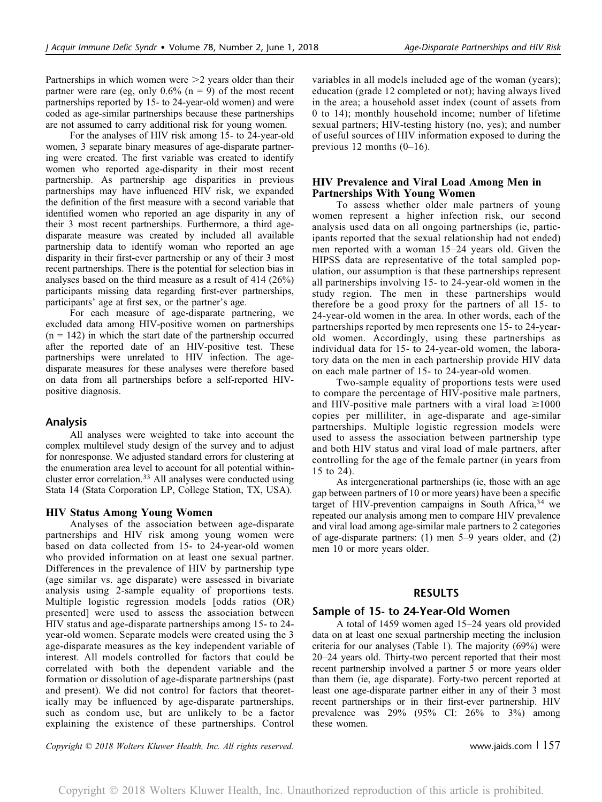Partnerships in which women were  $>2$  years older than their partner were rare (eg, only  $0.6\%$  (n = 9) of the most recent partnerships reported by 15- to 24-year-old women) and were coded as age-similar partnerships because these partnerships are not assumed to carry additional risk for young women.

For the analyses of HIV risk among 15- to 24-year-old women, 3 separate binary measures of age-disparate partnering were created. The first variable was created to identify women who reported age-disparity in their most recent partnership. As partnership age disparities in previous partnerships may have influenced HIV risk, we expanded the definition of the first measure with a second variable that identified women who reported an age disparity in any of their 3 most recent partnerships. Furthermore, a third agedisparate measure was created by included all available partnership data to identify woman who reported an age disparity in their first-ever partnership or any of their 3 most recent partnerships. There is the potential for selection bias in analyses based on the third measure as a result of 414 (26%) participants missing data regarding first-ever partnerships, participants' age at first sex, or the partner's age.

For each measure of age-disparate partnering, we excluded data among HIV-positive women on partnerships  $(n = 142)$  in which the start date of the partnership occurred after the reported date of an HIV-positive test. These partnerships were unrelated to HIV infection. The agedisparate measures for these analyses were therefore based on data from all partnerships before a self-reported HIVpositive diagnosis.

### Analysis

All analyses were weighted to take into account the complex multilevel study design of the survey and to adjust for nonresponse. We adjusted standard errors for clustering at the enumeration area level to account for all potential withincluster error correlation.<sup>33</sup> All analyses were conducted using Stata 14 (Stata Corporation LP, College Station, TX, USA).

#### HIV Status Among Young Women

Analyses of the association between age-disparate partnerships and HIV risk among young women were based on data collected from 15- to 24-year-old women who provided information on at least one sexual partner. Differences in the prevalence of HIV by partnership type (age similar vs. age disparate) were assessed in bivariate analysis using 2-sample equality of proportions tests. Multiple logistic regression models [odds ratios (OR) presented] were used to assess the association between HIV status and age-disparate partnerships among 15- to 24 year-old women. Separate models were created using the 3 age-disparate measures as the key independent variable of interest. All models controlled for factors that could be correlated with both the dependent variable and the formation or dissolution of age-disparate partnerships (past and present). We did not control for factors that theoretically may be influenced by age-disparate partnerships, such as condom use, but are unlikely to be a factor explaining the existence of these partnerships. Control

variables in all models included age of the woman (years); education (grade 12 completed or not); having always lived in the area; a household asset index (count of assets from 0 to 14); monthly household income; number of lifetime sexual partners; HIV-testing history (no, yes); and number of useful sources of HIV information exposed to during the previous 12 months  $(0-16)$ .

#### HIV Prevalence and Viral Load Among Men in Partnerships With Young Women

To assess whether older male partners of young women represent a higher infection risk, our second analysis used data on all ongoing partnerships (ie, participants reported that the sexual relationship had not ended) men reported with a woman 15–24 years old. Given the HIPSS data are representative of the total sampled population, our assumption is that these partnerships represent all partnerships involving 15- to 24-year-old women in the study region. The men in these partnerships would therefore be a good proxy for the partners of all 15- to 24-year-old women in the area. In other words, each of the partnerships reported by men represents one 15- to 24-yearold women. Accordingly, using these partnerships as individual data for 15- to 24-year-old women, the laboratory data on the men in each partnership provide HIV data on each male partner of 15- to 24-year-old women.

Two-sample equality of proportions tests were used to compare the percentage of HIV-positive male partners, and HIV-positive male partners with a viral load  $\geq 1000$ copies per milliliter, in age-disparate and age-similar partnerships. Multiple logistic regression models were used to assess the association between partnership type and both HIV status and viral load of male partners, after controlling for the age of the female partner (in years from 15 to 24).

As intergenerational partnerships (ie, those with an age gap between partners of 10 or more years) have been a specific target of HIV-prevention campaigns in South Africa,  $34$  we repeated our analysis among men to compare HIV prevalence and viral load among age-similar male partners to 2 categories of age-disparate partners: (1) men 5–9 years older, and (2) men 10 or more years older.

#### RESULTS

#### Sample of 15- to 24-Year-Old Women

A total of 1459 women aged 15–24 years old provided data on at least one sexual partnership meeting the inclusion criteria for our analyses (Table 1). The majority (69%) were 20–24 years old. Thirty-two percent reported that their most recent partnership involved a partner 5 or more years older than them (ie, age disparate). Forty-two percent reported at least one age-disparate partner either in any of their 3 most recent partnerships or in their first-ever partnership. HIV prevalence was 29% (95% CI: 26% to 3%) among these women.

Copyright  $\odot$  2018 Wolters Kluwer Health, Inc. All rights reserved. www.jaids.com | 157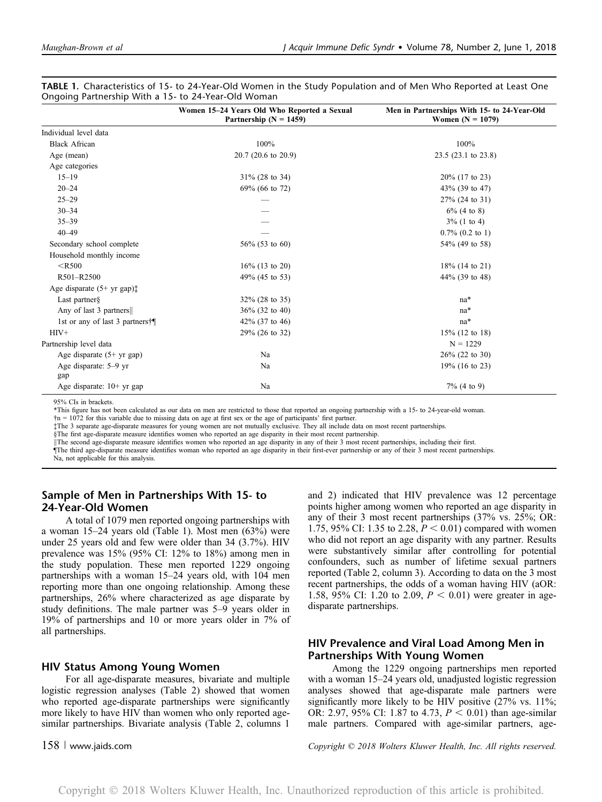|                                 | Women 15-24 Years Old Who Reported a Sexual<br>Partnership ( $N = 1459$ ) | Men in Partnerships With 15- to 24-Year-Old<br>Women $(N = 1079)$ |
|---------------------------------|---------------------------------------------------------------------------|-------------------------------------------------------------------|
| Individual level data           |                                                                           |                                                                   |
| <b>Black African</b>            | 100%                                                                      | 100%                                                              |
| Age (mean)                      | 20.7 (20.6 to 20.9)                                                       | 23.5 (23.1 to 23.8)                                               |
| Age categories                  |                                                                           |                                                                   |
| $15 - 19$                       | $31\%$ (28 to 34)                                                         | $20\%$ (17 to 23)                                                 |
| $20 - 24$                       | 69% (66 to 72)                                                            | 43% (39 to 47)                                                    |
| $25 - 29$                       |                                                                           | $27\%$ (24 to 31)                                                 |
| $30 - 34$                       |                                                                           | $6\%$ (4 to 8)                                                    |
| $35 - 39$                       |                                                                           | $3\%$ (1 to 4)                                                    |
| $40 - 49$                       |                                                                           | $0.7\%$ $(0.2 \text{ to } 1)$                                     |
| Secondary school complete       | $56\%$ (53 to 60)                                                         | 54% (49 to 58)                                                    |
| Household monthly income        |                                                                           |                                                                   |
| $<$ R500                        | $16\%$ (13 to 20)                                                         | $18\%$ (14 to 21)                                                 |
| R501-R2500                      | 49% (45 to 53)                                                            | 44% (39 to 48)                                                    |
| Age disparate $(5+yr gap)$ :    |                                                                           |                                                                   |
| Last partner $\S$               | $32\%$ (28 to 35)                                                         | na*                                                               |
| Any of last 3 partners          | $36\%$ (32 to 40)                                                         | $na*$                                                             |
| 1st or any of last 3 partners†¶ | 42% (37 to 46)                                                            | $na*$                                                             |
| $HIV+$                          | 29% (26 to 32)                                                            | $15\%$ (12 to 18)                                                 |
| Partnership level data          |                                                                           | $N = 1229$                                                        |
| Age disparate (5+ yr gap)       | Na                                                                        | $26\%$ (22 to 30)                                                 |
| Age disparate: 5–9 yr<br>gap    | Na                                                                        | $19\%$ (16 to 23)                                                 |
| Age disparate: 10+ yr gap       | Na                                                                        | $7\%$ (4 to 9)                                                    |

TABLE 1. Characteristics of 15- to 24-Year-Old Women in the Study Population and of Men Who Reported at Least One Ongoing Partnership With a 15- to 24-Year-Old Woman

95% CIs in brackets.

\*This figure has not been calculated as our data on men are restricted to those that reported an ongoing partnership with a 15- to 24-year-old woman.

†n = 1072 for this variable due to missing data on age at first sex or the age of participants' first partner.

‡The 3 separate age-disparate measures for young women are not mutually exclusive. They all include data on most recent partnerships.

§The first age-disparate measure identifies women who reported an age disparity in their most recent partnership.

<sup>k</sup>The second age-disparate measure identifies women who reported an age disparity in any of their 3 most recent partnerships, including their first.

¶The third age-disparate measure identifies woman who reported an age disparity in their first-ever partnership or any of their 3 most recent partnerships.

Na, not applicable for this analysis.

# Sample of Men in Partnerships With 15- to 24-Year-Old Women

A total of 1079 men reported ongoing partnerships with a woman 15–24 years old (Table 1). Most men (63%) were under 25 years old and few were older than 34 (3.7%). HIV prevalence was 15% (95% CI: 12% to 18%) among men in the study population. These men reported 1229 ongoing partnerships with a woman 15–24 years old, with 104 men reporting more than one ongoing relationship. Among these partnerships, 26% where characterized as age disparate by study definitions. The male partner was 5–9 years older in 19% of partnerships and 10 or more years older in 7% of all partnerships.

#### HIV Status Among Young Women

For all age-disparate measures, bivariate and multiple logistic regression analyses (Table 2) showed that women who reported age-disparate partnerships were significantly more likely to have HIV than women who only reported agesimilar partnerships. Bivariate analysis (Table 2, columns 1

and 2) indicated that HIV prevalence was 12 percentage points higher among women who reported an age disparity in any of their 3 most recent partnerships (37% vs. 25%; OR: 1.75, 95% CI: 1.35 to 2.28,  $P < 0.01$ ) compared with women who did not report an age disparity with any partner. Results were substantively similar after controlling for potential confounders, such as number of lifetime sexual partners reported (Table 2, column 3). According to data on the 3 most recent partnerships, the odds of a woman having HIV (aOR: 1.58, 95% CI: 1.20 to 2.09,  $P < 0.01$ ) were greater in agedisparate partnerships.

# HIV Prevalence and Viral Load Among Men in Partnerships With Young Women

Among the 1229 ongoing partnerships men reported with a woman 15–24 years old, unadjusted logistic regression analyses showed that age-disparate male partners were significantly more likely to be HIV positive (27% vs. 11%; OR: 2.97, 95% CI: 1.87 to 4.73,  $P < 0.01$ ) than age-similar male partners. Compared with age-similar partners, age-

158 <sup>|</sup> www.jaids.com Copyright © 2018 Wolters Kluwer Health, Inc. All rights reserved.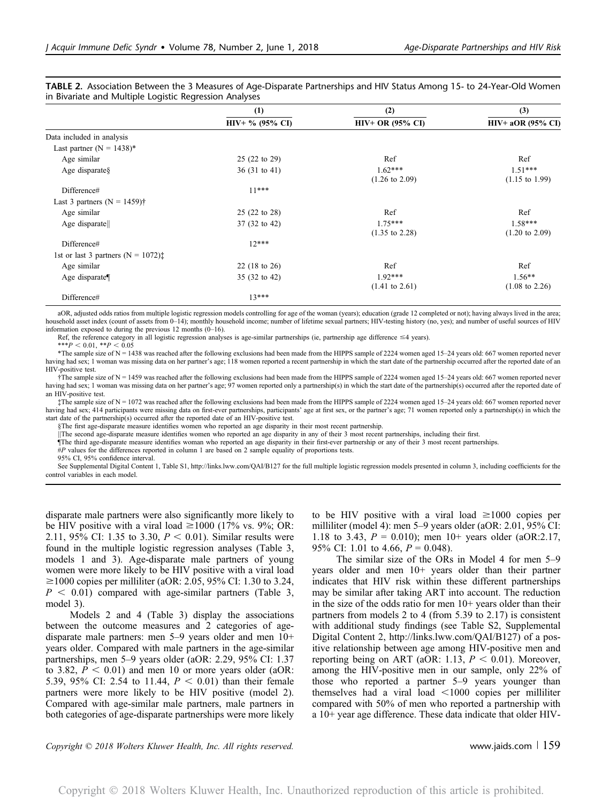|                                                  | (1)                     | (2)<br><b>HIV+ OR (95% CI)</b>         | (3)                                    |  |
|--------------------------------------------------|-------------------------|----------------------------------------|----------------------------------------|--|
|                                                  | $HIV+$ % (95% CI)       |                                        | $HIV+aOR$ (95% CI)                     |  |
| Data included in analysis                        |                         |                                        |                                        |  |
| Last partner ( $N = 1438$ )*                     |                         |                                        |                                        |  |
| Age similar                                      | 25 (22 to 29)           | Ref                                    | Ref                                    |  |
| Age disparates                                   | $36(31 \text{ to } 41)$ | $1.62***$<br>$(1.26 \text{ to } 2.09)$ | $1.51***$<br>$(1.15 \text{ to } 1.99)$ |  |
| Difference#                                      | $11***$                 |                                        |                                        |  |
| Last 3 partners $(N = 1459)$ †                   |                         |                                        |                                        |  |
| Age similar                                      | 25 (22 to 28)           | Ref                                    | Ref                                    |  |
| Age disparate                                    | 37 (32 to 42)           | $1.75***$<br>$(1.35 \text{ to } 2.28)$ | $1.58***$<br>$(1.20 \text{ to } 2.09)$ |  |
| Difference#                                      | $12***$                 |                                        |                                        |  |
| 1st or last 3 partners ( $N = 1072$ ) $\ddagger$ |                         |                                        |                                        |  |
| Age similar                                      | 22 (18 to 26)           | Ref                                    | Ref                                    |  |
| Age disparate                                    | 35 (32 to 42)           | $1.92***$<br>$(1.41 \text{ to } 2.61)$ | $1.56**$<br>$(1.08 \text{ to } 2.26)$  |  |
| Difference#                                      | $13***$                 |                                        |                                        |  |

TABLE 2. Association Between the 3 Measures of Age-Disparate Partnerships and HIV Status Among 15- to 24-Year-Old Women in Bivariate and Multiple Logistic Regression Analyses

aOR, adjusted odds ratios from multiple logistic regression models controlling for age of the woman (years); education (grade 12 completed or not); having always lived in the area; household asset index (count of assets from 0-14); monthly household income; number of lifetime sexual partners; HIV-testing history (no, yes); and number of useful sources of HIV information exposed to during the previous 12 months (0–16).

Ref, the reference category in all logistic regression analyses is age-similar partnerships (ie, partnership age difference  $\leq 4$  years).

\*\*\* $P < 0.01$ , \*\* $P < 0.05$ 

\*The sample size of N = 1438 was reached after the following exclusions had been made from the HIPPS sample of 2224 women aged 15–24 years old: 667 women reported never having had sex; 1 woman was missing data on her partner's age; 118 women reported a recent partnership in which the start date of the partnership occurred after the reported date of an HIV-positive test.

 $\ddot{\tau}$ The sample size of N = 1459 was reached after the following exclusions had been made from the HIPPS sample of 2224 women aged 15–24 years old: 667 women reported never having had sex; 1 woman was missing data on her partner's age; 97 women reported only a partnership(s) in which the start date of the partnership(s) occurred after the reported date of an HIV-positive test.

‡The sample size of N = 1072 was reached after the following exclusions had been made from the HIPPS sample of 2224 women aged 15–24 years old: 667 women reported never having had sex; 414 participants were missing data on first-ever partnerships, participants' age at first sex, or the partner's age; 71 women reported only a partnership(s) in which the start date of the partnership(s) occurred after the reported date of an HIV-positive test.

§The first age-disparate measure identifies women who reported an age disparity in their most recent partnership.

The second age-disparate measure identifies women who reported an age disparity in any of their 3 most recent partnerships, including their first.

¶The third age-disparate measure identifies woman who reported an age disparity in their first-ever partnership or any of their 3 most recent partnerships.

#P values for the differences reported in column 1 are based on 2 sample equality of proportions tests.

95% CI, 95% confidence interval.

See Supplemental Digital Content 1, Table S1,<http://links.lww.com/QAI/B127> for the full multiple logistic regression models presented in column 3, including coefficients for the control variables in each model.

disparate male partners were also significantly more likely to be HIV positive with a viral load  $\geq$ 1000 (17% vs. 9%; OR: 2.11, 95% CI: 1.35 to 3.30,  $P < 0.01$ ). Similar results were found in the multiple logistic regression analyses (Table 3, models 1 and 3). Age-disparate male partners of young women were more likely to be HIV positive with a viral load  $\geq$ 1000 copies per milliliter (aOR: 2.05, 95% CI: 1.30 to 3.24,  $P < 0.01$ ) compared with age-similar partners (Table 3, model 3).

Models 2 and 4 (Table 3) display the associations between the outcome measures and 2 categories of agedisparate male partners: men 5–9 years older and men 10+ years older. Compared with male partners in the age-similar partnerships, men 5–9 years older (aOR: 2.29, 95% CI: 1.37 to 3.82,  $P < 0.01$ ) and men 10 or more years older (aOR: 5.39, 95% CI: 2.54 to 11.44,  $P < 0.01$ ) than their female partners were more likely to be HIV positive (model 2). Compared with age-similar male partners, male partners in both categories of age-disparate partnerships were more likely to be HIV positive with a viral load  $\geq 1000$  copies per milliliter (model 4): men 5–9 years older (aOR: 2.01, 95% CI: 1.18 to 3.43,  $P = 0.010$ ; men 10+ years older (aOR:2.17, 95% CI: 1.01 to 4.66,  $P = 0.048$ ).

The similar size of the ORs in Model 4 for men 5–9 years older and men 10+ years older than their partner indicates that HIV risk within these different partnerships may be similar after taking ART into account. The reduction in the size of the odds ratio for men  $10<sup>+</sup>$  years older than their partners from models 2 to 4 (from 5.39 to 2.17) is consistent with additional study findings (see Table S2, Supplemental Digital Content 2,<http://links.lww.com/QAI/B127>) of a positive relationship between age among HIV-positive men and reporting being on ART (aOR: 1.13,  $P < 0.01$ ). Moreover, among the HIV-positive men in our sample, only 22% of those who reported a partner 5–9 years younger than themselves had a viral load  $\leq$ 1000 copies per milliliter compared with 50% of men who reported a partnership with a 10+ year age difference. These data indicate that older HIV-

Copyright  $\odot$  2018 Wolters Kluwer Health, Inc. All rights reserved. www.jaids.com | 159

Copyright 2018 Wolters Kluwer Health, Inc. Unauthorized reproduction of this article is prohibited.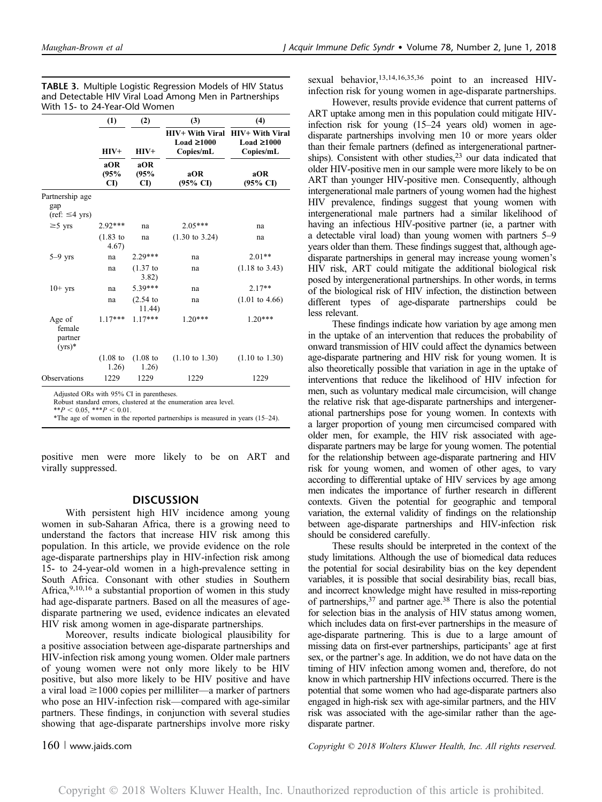|                                                              | (1)<br>(2)                   |                            | (3)                                                                                   | (4)                                                                                   |
|--------------------------------------------------------------|------------------------------|----------------------------|---------------------------------------------------------------------------------------|---------------------------------------------------------------------------------------|
|                                                              | $HIV+$<br>aOR<br>(95%<br>CI) | HIV+<br>aOR<br>(95%<br>CI) | <b>HIV+ With Viral</b><br>Load $\geq 1000$<br>Copies/mL<br>aOR<br>$(95\% \text{ CI})$ | <b>HIV+ With Viral</b><br>Load $\geq 1000$<br>Copies/mL<br>aOR<br>$(95\% \text{ CI})$ |
|                                                              |                              |                            |                                                                                       |                                                                                       |
| Partnership age<br>gap<br>$(\text{ref}: \leq 4 \text{ yrs})$ |                              |                            |                                                                                       |                                                                                       |
| $≥5$ yrs                                                     | $2.92***$                    | na                         | $2.05***$                                                                             | na                                                                                    |
|                                                              | $(1.83)$ to<br>4.67)         | na                         | $(1.30 \text{ to } 3.24)$                                                             | na                                                                                    |
| $5-9$ yrs                                                    | na                           | $2.29***$                  | na                                                                                    | $2.01**$                                                                              |
|                                                              | na                           | $(1.37)$ to<br>3.82)       | na                                                                                    | $(1.18 \text{ to } 3.43)$                                                             |
| $10+$ yrs                                                    | na                           | 5.39***                    | na                                                                                    | $2.17**$                                                                              |
|                                                              | na                           | $(2.54)$ to<br>11.44)      | na                                                                                    | $(1.01 \text{ to } 4.66)$                                                             |
| Age of<br>female<br>partner<br>$(yrs)^*$                     | $1.17***$                    | $1.17***$                  | $1.20***$                                                                             | $1.20***$                                                                             |
|                                                              | $(1.08)$ to<br>1.26)         | $(1.08)$ to<br>1.26)       | $(1.10 \text{ to } 1.30)$                                                             | $(1.10 \text{ to } 1.30)$                                                             |
| Observations                                                 | 1229                         | 1229                       | 1229                                                                                  | 1229                                                                                  |

TABLE 3. Multiple Logistic Regression Models of HIV Status and Detectable HIV Viral Load Among Men in Partnerships With 15- to 24-Year-Old Women

Adjusted ORs with 95% CI in parentheses.

Robust standard errors, clustered at the enumeration area level.

 $**P < 0.05$ ,  $***P < 0.01$ .

\*The age of women in the reported partnerships is measured in years (15–24).

positive men were more likely to be on ART and virally suppressed.

#### **DISCUSSION**

With persistent high HIV incidence among young women in sub-Saharan Africa, there is a growing need to understand the factors that increase HIV risk among this population. In this article, we provide evidence on the role age-disparate partnerships play in HIV-infection risk among 15- to 24-year-old women in a high-prevalence setting in South Africa. Consonant with other studies in Southern Africa,9,10,16 a substantial proportion of women in this study had age-disparate partners. Based on all the measures of agedisparate partnering we used, evidence indicates an elevated HIV risk among women in age-disparate partnerships.

Moreover, results indicate biological plausibility for a positive association between age-disparate partnerships and HIV-infection risk among young women. Older male partners of young women were not only more likely to be HIV positive, but also more likely to be HIV positive and have a viral load  $\geq$  1000 copies per milliliter—a marker of partners who pose an HIV-infection risk—compared with age-similar partners. These findings, in conjunction with several studies showing that age-disparate partnerships involve more risky

sexual behavior,<sup>13,14,16,35,36</sup> point to an increased HIVinfection risk for young women in age-disparate partnerships.

However, results provide evidence that current patterns of ART uptake among men in this population could mitigate HIVinfection risk for young (15–24 years old) women in agedisparate partnerships involving men 10 or more years older than their female partners (defined as intergenerational partnerships). Consistent with other studies,<sup>23</sup> our data indicated that older HIV-positive men in our sample were more likely to be on ART than younger HIV-positive men. Consequently, although intergenerational male partners of young women had the highest HIV prevalence, findings suggest that young women with intergenerational male partners had a similar likelihood of having an infectious HIV-positive partner (ie, a partner with a detectable viral load) than young women with partners 5–9 years older than them. These findings suggest that, although agedisparate partnerships in general may increase young women's HIV risk, ART could mitigate the additional biological risk posed by intergenerational partnerships. In other words, in terms of the biological risk of HIV infection, the distinction between different types of age-disparate partnerships could be less relevant.

These findings indicate how variation by age among men in the uptake of an intervention that reduces the probability of onward transmission of HIV could affect the dynamics between age-disparate partnering and HIV risk for young women. It is also theoretically possible that variation in age in the uptake of interventions that reduce the likelihood of HIV infection for men, such as voluntary medical male circumcision, will change the relative risk that age-disparate partnerships and intergenerational partnerships pose for young women. In contexts with a larger proportion of young men circumcised compared with older men, for example, the HIV risk associated with agedisparate partners may be large for young women. The potential for the relationship between age-disparate partnering and HIV risk for young women, and women of other ages, to vary according to differential uptake of HIV services by age among men indicates the importance of further research in different contexts. Given the potential for geographic and temporal variation, the external validity of findings on the relationship between age-disparate partnerships and HIV-infection risk should be considered carefully.

These results should be interpreted in the context of the study limitations. Although the use of biomedical data reduces the potential for social desirability bias on the key dependent variables, it is possible that social desirability bias, recall bias, and incorrect knowledge might have resulted in miss-reporting of partnerships,37 and partner age.38 There is also the potential for selection bias in the analysis of HIV status among women, which includes data on first-ever partnerships in the measure of age-disparate partnering. This is due to a large amount of missing data on first-ever partnerships, participants' age at first sex, or the partner's age. In addition, we do not have data on the timing of HIV infection among women and, therefore, do not know in which partnership HIV infections occurred. There is the potential that some women who had age-disparate partners also engaged in high-risk sex with age-similar partners, and the HIV risk was associated with the age-similar rather than the agedisparate partner.

160 <sup>|</sup> www.jaids.com Copyright © 2018 Wolters Kluwer Health, Inc. All rights reserved.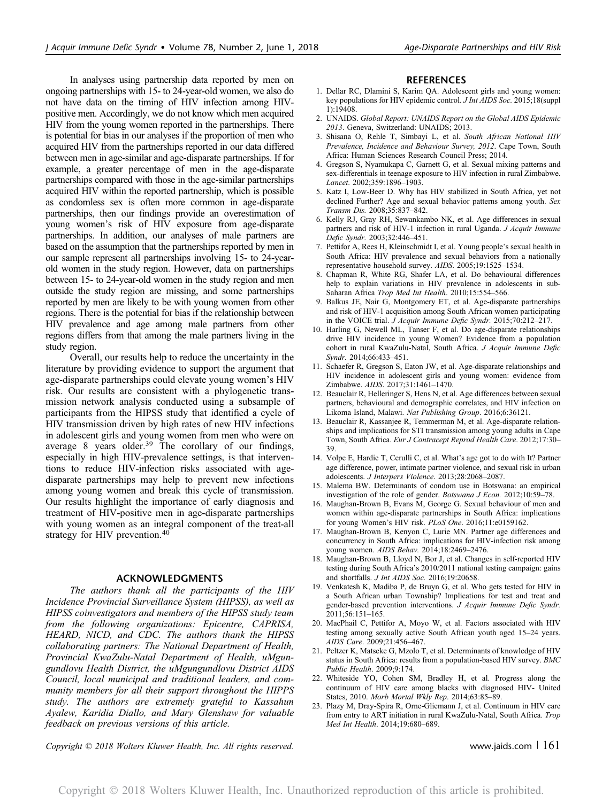In analyses using partnership data reported by men on ongoing partnerships with 15- to 24-year-old women, we also do not have data on the timing of HIV infection among HIVpositive men. Accordingly, we do not know which men acquired HIV from the young women reported in the partnerships. There is potential for bias in our analyses if the proportion of men who acquired HIV from the partnerships reported in our data differed between men in age-similar and age-disparate partnerships. If for example, a greater percentage of men in the age-disparate partnerships compared with those in the age-similar partnerships acquired HIV within the reported partnership, which is possible as condomless sex is often more common in age-disparate partnerships, then our findings provide an overestimation of young women's risk of HIV exposure from age-disparate partnerships. In addition, our analyses of male partners are based on the assumption that the partnerships reported by men in our sample represent all partnerships involving 15- to 24-yearold women in the study region. However, data on partnerships between 15- to 24-year-old women in the study region and men outside the study region are missing, and some partnerships reported by men are likely to be with young women from other regions. There is the potential for bias if the relationship between HIV prevalence and age among male partners from other regions differs from that among the male partners living in the study region.

Overall, our results help to reduce the uncertainty in the literature by providing evidence to support the argument that age-disparate partnerships could elevate young women's HIV risk. Our results are consistent with a phylogenetic transmission network analysis conducted using a subsample of participants from the HIPSS study that identified a cycle of HIV transmission driven by high rates of new HIV infections in adolescent girls and young women from men who were on average 8 years older.<sup>39</sup> The corollary of our findings, especially in high HIV-prevalence settings, is that interventions to reduce HIV-infection risks associated with agedisparate partnerships may help to prevent new infections among young women and break this cycle of transmission. Our results highlight the importance of early diagnosis and treatment of HIV-positive men in age-disparate partnerships with young women as an integral component of the treat-all strategy for HIV prevention.<sup>40</sup>

#### ACKNOWLEDGMENTS

The authors thank all the participants of the HIV Incidence Provincial Surveillance System (HIPSS), as well as HIPSS coinvestigators and members of the HIPSS study team from the following organizations: Epicentre, CAPRISA, HEARD, NICD, and CDC. The authors thank the HIPSS collaborating partners: The National Department of Health, Provincial KwaZulu-Natal Department of Health, uMgungundlovu Health District, the uMgungundlovu District AIDS Council, local municipal and traditional leaders, and community members for all their support throughout the HIPPS study. The authors are extremely grateful to Kassahun Ayalew, Karidia Diallo, and Mary Glenshaw for valuable feedback on previous versions of this article.

#### **REFERENCES**

- 1. Dellar RC, Dlamini S, Karim QA. Adolescent girls and young women: key populations for HIV epidemic control. J Int AIDS Soc. 2015;18(suppl 1):19408.
- 2. UNAIDS. Global Report: UNAIDS Report on the Global AIDS Epidemic 2013. Geneva, Switzerland: UNAIDS; 2013.
- 3. Shisana O, Rehle T, Simbayi L, et al. South African National HIV Prevalence, Incidence and Behaviour Survey, 2012. Cape Town, South Africa: Human Sciences Research Council Press; 2014.
- 4. Gregson S, Nyamukapa C, Garnett G, et al. Sexual mixing patterns and sex-differentials in teenage exposure to HIV infection in rural Zimbabwe. Lancet. 2002;359:1896–1903.
- 5. Katz I, Low-Beer D. Why has HIV stabilized in South Africa, yet not declined Further? Age and sexual behavior patterns among youth. Sex Transm Dis. 2008;35:837–842.
- 6. Kelly RJ, Gray RH, Sewankambo NK, et al. Age differences in sexual partners and risk of HIV-1 infection in rural Uganda. J Acquir Immune Defic Syndr. 2003;32:446–451.
- 7. Pettifor A, Rees H, Kleinschmidt I, et al. Young people's sexual health in South Africa: HIV prevalence and sexual behaviors from a nationally representative household survey. AIDS. 2005;19:1525–1534.
- 8. Chapman R, White RG, Shafer LA, et al. Do behavioural differences help to explain variations in HIV prevalence in adolescents in sub-Saharan Africa Trop Med Int Health. 2010;15:554–566.
- 9. Balkus JE, Nair G, Montgomery ET, et al. Age-disparate partnerships and risk of HIV-1 acquisition among South African women participating in the VOICE trial. J Acquir Immune Defic Syndr. 2015;70:212–217.
- 10. Harling G, Newell ML, Tanser F, et al. Do age-disparate relationships drive HIV incidence in young Women? Evidence from a population cohort in rural KwaZulu-Natal, South Africa. J Acquir Immune Defic Syndr. 2014;66:433–451.
- 11. Schaefer R, Gregson S, Eaton JW, et al. Age-disparate relationships and HIV incidence in adolescent girls and young women: evidence from Zimbabwe. AIDS. 2017;31:1461–1470.
- 12. Beauclair R, Helleringer S, Hens N, et al. Age differences between sexual partners, behavioural and demographic correlates, and HIV infection on Likoma Island, Malawi. Nat Publishing Group. 2016;6:36121.
- 13. Beauclair R, Kassanjee R, Temmerman M, et al. Age-disparate relationships and implications for STI transmission among young adults in Cape Town, South Africa. Eur J Contracept Reprod Health Care. 2012;17:30– 39.
- 14. Volpe E, Hardie T, Cerulli C, et al. What's age got to do with It? Partner age difference, power, intimate partner violence, and sexual risk in urban adolescents. J Interpers Violence. 2013;28:2068–2087.
- 15. Malema BW. Determinants of condom use in Botswana: an empirical investigation of the role of gender. Botswana J Econ. 2012;10:59–78.
- 16. Maughan-Brown B, Evans M, George G. Sexual behaviour of men and women within age-disparate partnerships in South Africa: implications for young Women's HIV risk. PLoS One. 2016;11:e0159162.
- 17. Maughan-Brown B, Kenyon C, Lurie MN. Partner age differences and concurrency in South Africa: implications for HIV-infection risk among young women. AIDS Behav. 2014;18:2469-2476.
- 18. Maughan-Brown B, Lloyd N, Bor J, et al. Changes in self-reported HIV testing during South Africa's 2010/2011 national testing campaign: gains and shortfalls. J Int AIDS Soc. 2016;19:20658.
- 19. Venkatesh K, Madiba P, de Bruyn G, et al. Who gets tested for HIV in a South African urban Township? Implications for test and treat and gender-based prevention interventions. J Acquir Immune Defic Syndr. 2011;56:151–165.
- 20. MacPhail C, Pettifor A, Moyo W, et al. Factors associated with HIV testing among sexually active South African youth aged 15–24 years. AIDS Care. 2009;21:456–467.
- 21. Peltzer K, Matseke G, Mzolo T, et al. Determinants of knowledge of HIV status in South Africa: results from a population-based HIV survey. BMC Public Health. 2009;9:174.
- 22. Whiteside YO, Cohen SM, Bradley H, et al. Progress along the continuum of HIV care among blacks with diagnosed HIV- United States, 2010. Morb Mortal Wkly Rep. 2014;63:85–89.
- 23. Plazy M, Dray-Spira R, Orne-Gliemann J, et al. Continuum in HIV care from entry to ART initiation in rural KwaZulu-Natal, South Africa. Trop Med Int Health. 2014;19:680–689.

Copyright  $\odot$  2018 Wolters Kluwer Health, Inc. All rights reserved. www.jaids.com | 161